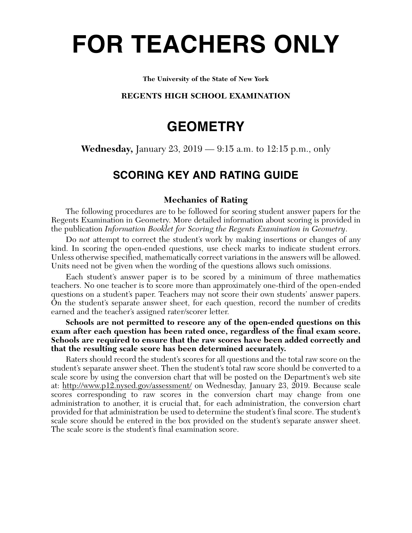# **FOR TEACHERS ONLY**

#### **The University of the State of New York**

### **REGENTS HIGH SCHOOL EXAMINATION**

## **GEOMETRY**

**Wednesday,** January 23, 2019 — 9:15 a.m. to 12:15 p.m., only

## **SCORING KEY AND RATING GUIDE**

## **Mechanics of Rating**

The following procedures are to be followed for scoring student answer papers for the Regents Examination in Geometry. More detailed information about scoring is provided in the publication *Information Booklet for Scoring the Regents Examination in Geometry*.

Do *not* attempt to correct the student's work by making insertions or changes of any kind. In scoring the open-ended questions, use check marks to indicate student errors. Unless otherwise specified, mathematically correct variations in the answers will be allowed. Units need not be given when the wording of the questions allows such omissions.

Each student's answer paper is to be scored by a minimum of three mathematics teachers. No one teacher is to score more than approximately one-third of the open-ended questions on a student's paper. Teachers may not score their own students' answer papers. On the student's separate answer sheet, for each question, record the number of credits earned and the teacher's assigned rater/scorer letter.

**Schools are not permitted to rescore any of the open-ended questions on this exam after each question has been rated once, regardless of the final exam score. Schools are required to ensure that the raw scores have been added correctly and that the resulting scale score has been determined accurately.**

Raters should record the student's scores for all questions and the total raw score on the student's separate answer sheet. Then the student's total raw score should be converted to a scale score by using the conversion chart that will be posted on the Department's web site at: http://www.p12.nysed.gov/assessment/ on Wednesday, January 23, 2019. Because scale scores corresponding to raw scores in the conversion chart may change from one administration to another, it is crucial that, for each administration, the conversion chart provided for that administration be used to determine the student's final score. The student's scale score should be entered in the box provided on the student's separate answer sheet. The scale score is the student's final examination score.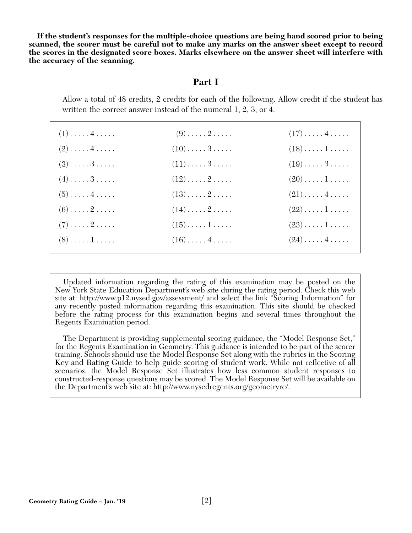**If the student's responses for the multiple-choice questions are being hand scored prior to being scanned, the scorer must be careful not to make any marks on the answer sheet except to record the scores in the designated score boxes. Marks elsewhere on the answer sheet will interfere with the accuracy of the scanning.**

## **Part I**

Allow a total of 48 credits, 2 credits for each of the following. Allow credit if the student has written the correct answer instead of the numeral 1, 2, 3, or 4.

| $(1)$ 4                      | $(9) \ldots \ldots 2 \ldots$        | $(17)\ldots(4\ldots)$           |
|------------------------------|-------------------------------------|---------------------------------|
| $(2) \ldots \ldots 4 \ldots$ | $(10) \ldots \ldots 3 \ldots$       | $(18)\ldots\ldots\ldots$        |
| $(3) \ldots \ldots 3 \ldots$ | $(11)\ldots 3 \ldots$               | $(19)\ldots 3 \ldots$           |
| $(4) \ldots \ldots 3 \ldots$ | $(12)\ldots \ldots 2 \ldots$        | $(20)\ldots\ldots\ldots$        |
| $(5) \ldots \ldots 4 \ldots$ | $(13)\ldots 2 \ldots$               | $(21)\ldots$ . 4                |
| $(6) \ldots \ldots 2 \ldots$ | $(14)\ldots 2 \ldots$               | $(22)\ldots\ldots\ldots$        |
| $(7) \ldots \ldots 2 \ldots$ | $(15)\ldots\ldots\,1\ldots\ldots$   | $(23)\ldots\ldots\ldots$        |
| $(8) \ldots \ldots 1 \ldots$ | $(16)\ldots \ldots 4 \ldots \ldots$ | $(24)\ldots\ldots4\ldots\ldots$ |

Updated information regarding the rating of this examination may be posted on the New York State Education Department's web site during the rating period. Check this web site at: http://www.p12.nysed.gov/assessment/ and select the link "Scoring Information" for any recently posted information regarding this examination. This site should be checked before the rating process for this examination begins and several times throughout the Regents Examination period.

The Department is providing supplemental scoring guidance, the "Model Response Set," for the Regents Examination in Geometry. This guidance is intended to be part of the scorer training. Schools should use the Model Response Set along with the rubrics in the Scoring Key and Rating Guide to help guide scoring of student work. While not reflective of all scenarios, the Model Response Set illustrates how less common student responses to constructed-response questions may be scored. The Model Response Set will be available on the Department's web site at: http://www.nysedregents.org/geometryre/.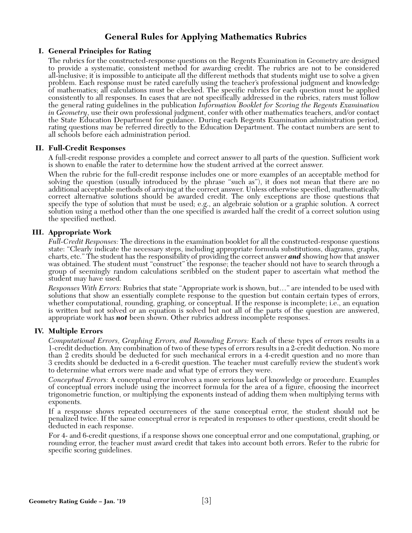## **General Rules for Applying Mathematics Rubrics**

#### **I. General Principles for Rating**

The rubrics for the constructed-response questions on the Regents Examination in Geometry are designed to provide a systematic, consistent method for awarding credit. The rubrics are not to be considered all-inclusive; it is impossible to anticipate all the different methods that students might use to solve a given problem. Each response must be rated carefully using the teacher's professional judgment and knowledge of mathematics; all calculations must be checked. The specific rubrics for each question must be applied consistently to all responses. In cases that are not specifically addressed in the rubrics, raters must follow the general rating guidelines in the publication *Information Booklet for Scoring the Regents Examination in Geometry*, use their own professional judgment, confer with other mathematics teachers, and/or contact the State Education Department for guidance. During each Regents Examination administration period, rating questions may be referred directly to the Education Department. The contact numbers are sent to all schools before each administration period.

#### **II. Full-Credit Responses**

A full-credit response provides a complete and correct answer to all parts of the question. Sufficient work is shown to enable the rater to determine how the student arrived at the correct answer.

When the rubric for the full-credit response includes one or more examples of an acceptable method for solving the question (usually introduced by the phrase "such as"), it does not mean that there are no additional acceptable methods of arriving at the correct answer. Unless otherwise specified, mathematically correct alternative solutions should be awarded credit. The only exceptions are those questions that specify the type of solution that must be used; e.g., an algebraic solution or a graphic solution. A correct solution using a method other than the one specified is awarded half the credit of a correct solution using the specified method.

#### **III. Appropriate Work**

*Full-Credit Responses:* The directions in the examination booklet for all the constructed-response questions state: "Clearly indicate the necessary steps, including appropriate formula substitutions, diagrams, graphs, charts, etc." The student has the responsibility of providing the correct answer *and* showing how that answer was obtained. The student must "construct" the response; the teacher should not have to search through a group of seemingly random calculations scribbled on the student paper to ascertain what method the student may have used.

*Responses With Errors:* Rubrics that state "Appropriate work is shown, but…" are intended to be used with solutions that show an essentially complete response to the question but contain certain types of errors, whether computational, rounding, graphing, or conceptual. If the response is incomplete; i.e., an equation is written but not solved or an equation is solved but not all of the parts of the question are answered, appropriate work has *not* been shown. Other rubrics address incomplete responses.

#### **IV. Multiple Errors**

*Computational Errors, Graphing Errors, and Rounding Errors:* Each of these types of errors results in a 1-credit deduction. Any combination of two of these types of errors results in a 2-credit deduction. No more than 2 credits should be deducted for such mechanical errors in a 4-credit question and no more than 3 credits should be deducted in a 6-credit question. The teacher must carefully review the student's work to determine what errors were made and what type of errors they were.

*Conceptual Errors:* A conceptual error involves a more serious lack of knowledge or procedure. Examples of conceptual errors include using the incorrect formula for the area of a figure, choosing the incorrect trigonometric function, or multiplying the exponents instead of adding them when multiplying terms with exponents.

If a response shows repeated occurrences of the same conceptual error, the student should not be penalized twice. If the same conceptual error is repeated in responses to other questions, credit should be deducted in each response.

For 4- and 6-credit questions, if a response shows one conceptual error and one computational, graphing, or rounding error, the teacher must award credit that takes into account both errors. Refer to the rubric for specific scoring guidelines.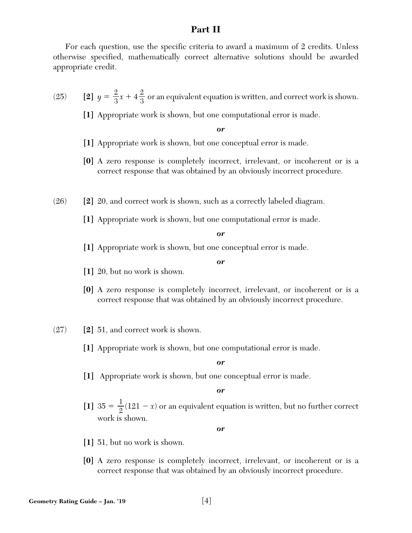## **Part II**

For each question, use the specific criteria to award a maximum of 2 credits. Unless otherwise specified, mathematically correct alternative solutions should be awarded appropriate credit.

(25) **[2]**  $y = \frac{2}{3}x + 4\frac{2}{3}$  or an equivalent equation is written, and correct work is shown. 3  $\frac{2}{1}$ 3

**[1]** Appropriate work is shown, but one computational error is made.

*or*

- **[1]** Appropriate work is shown, but one conceptual error is made.
- **[0]** A zero response is completely incorrect, irrelevant, or incoherent or is a correct response that was obtained by an obviously incorrect procedure.
- (26) **[2]** 20, and correct work is shown, such as a correctly labeled diagram.
	- **[1]** Appropriate work is shown, but one computational error is made.

*or*

**[1]** Appropriate work is shown, but one conceptual error is made.

*or*

- **[1]** 20, but no work is shown.
- **[0]** A zero response is completely incorrect, irrelevant, or incoherent or is a correct response that was obtained by an obviously incorrect procedure.
- (27) **[2]** 51, and correct work is shown.
	- **[1]** Appropriate work is shown, but one computational error is made.

*or*

**[1]** Appropriate work is shown, but one conceptual error is made.

*or*

[1]  $35 = \frac{1}{2}(121 - x)$  or an equivalent equation is written, but no further correct work is shown. 2

- **[1]** 51, but no work is shown.
- **[0]** A zero response is completely incorrect, irrelevant, or incoherent or is a correct response that was obtained by an obviously incorrect procedure.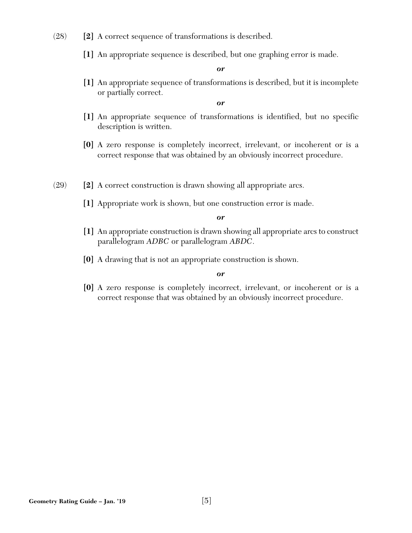- (28) **[2]** A correct sequence of transformations is described.
	- **[1]** An appropriate sequence is described, but one graphing error is made.

**[1]** An appropriate sequence of transformations is described, but it is incomplete or partially correct.

*or*

- **[1]** An appropriate sequence of transformations is identified, but no specific description is written.
- **[0]** A zero response is completely incorrect, irrelevant, or incoherent or is a correct response that was obtained by an obviously incorrect procedure.
- (29) **[2]** A correct construction is drawn showing all appropriate arcs.
	- **[1]** Appropriate work is shown, but one construction error is made.

*or*

- **[1]** An appropriate construction is drawn showing all appropriate arcs to construct parallelogram *ADBC* or parallelogram *ABDC*.
- **[0]** A drawing that is not an appropriate construction is shown.

#### *or*

**[0]** A zero response is completely incorrect, irrelevant, or incoherent or is a correct response that was obtained by an obviously incorrect procedure.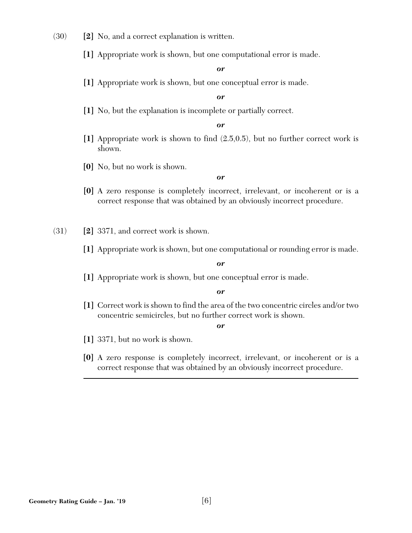- (30) **[2]** No, and a correct explanation is written.
	- **[1]** Appropriate work is shown, but one computational error is made.

**[1]** Appropriate work is shown, but one conceptual error is made.

*or*

**[1]** No, but the explanation is incomplete or partially correct.

*or*

- **[1]** Appropriate work is shown to find (2.5,0.5), but no further correct work is shown.
- **[0]** No, but no work is shown.

*or*

- **[0]** A zero response is completely incorrect, irrelevant, or incoherent or is a correct response that was obtained by an obviously incorrect procedure.
- (31) **[2]** 3371, and correct work is shown.
	- **[1]** Appropriate work is shown, but one computational or rounding error is made.

*or*

**[1]** Appropriate work is shown, but one conceptual error is made.

*or*

**[1]** Correct work is shown to find the area of the two concentric circles and/or two concentric semicircles, but no further correct work is shown.

- **[1]** 3371, but no work is shown.
- **[0]** A zero response is completely incorrect, irrelevant, or incoherent or is a correct response that was obtained by an obviously incorrect procedure.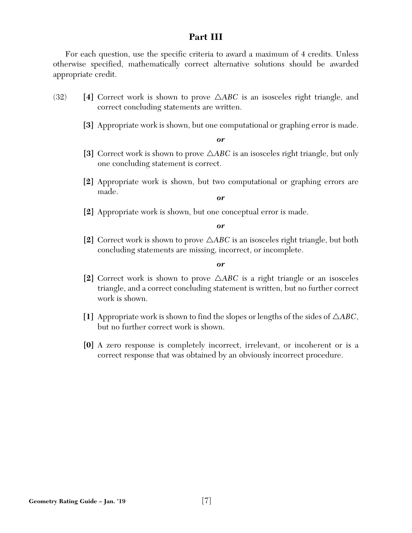## **Part III**

For each question, use the specific criteria to award a maximum of 4 credits. Unless otherwise specified, mathematically correct alternative solutions should be awarded appropriate credit.

- $(32)$  [4] Correct work is shown to prove  $\triangle ABC$  is an isosceles right triangle, and correct concluding statements are written.
	- **[3]** Appropriate work is shown, but one computational or graphing error is made.

*or*

- [3] Correct work is shown to prove  $\triangle ABC$  is an isosceles right triangle, but only one concluding statement is correct.
- **[2]** Appropriate work is shown, but two computational or graphing errors are made.

*or*

**[2]** Appropriate work is shown, but one conceptual error is made.

*or*

[2] Correct work is shown to prove  $\triangle ABC$  is an isosceles right triangle, but both concluding statements are missing, incorrect, or incomplete.

- [2] Correct work is shown to prove  $\triangle ABC$  is a right triangle or an isosceles triangle, and a correct concluding statement is written, but no further correct work is shown.
- [1] Appropriate work is shown to find the slopes or lengths of the sides of  $\triangle ABC$ , but no further correct work is shown.
- **[0]** A zero response is completely incorrect, irrelevant, or incoherent or is a correct response that was obtained by an obviously incorrect procedure.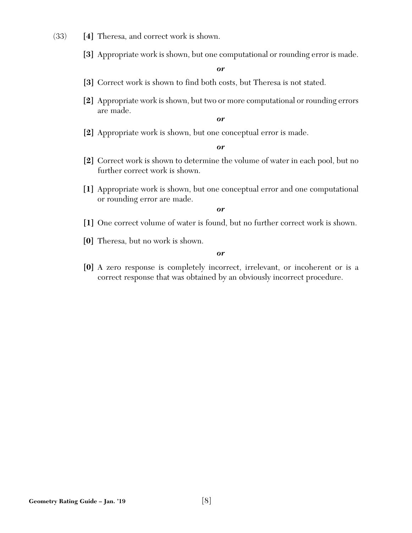- (33) **[4]** Theresa, and correct work is shown.
	- **[3]** Appropriate work is shown, but one computational or rounding error is made.

- **[3]** Correct work is shown to find both costs, but Theresa is not stated.
- **[2]** Appropriate work is shown, but two or more computational or rounding errors are made.

*or*

**[2]** Appropriate work is shown, but one conceptual error is made.

*or*

- **[2]** Correct work is shown to determine the volume of water in each pool, but no further correct work is shown.
- **[1]** Appropriate work is shown, but one conceptual error and one computational or rounding error are made.

*or*

- **[1]** One correct volume of water is found, but no further correct work is shown.
- **[0]** Theresa, but no work is shown.

*or*

**[0]** A zero response is completely incorrect, irrelevant, or incoherent or is a correct response that was obtained by an obviously incorrect procedure.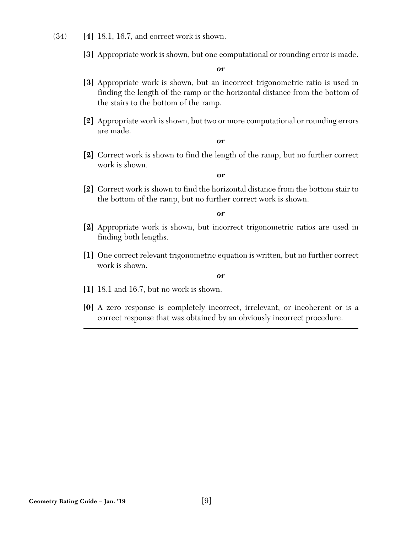- (34) **[4]** 18.1, 16.7, and correct work is shown.
	- **[3]** Appropriate work is shown, but one computational or rounding error is made.

- **[3]** Appropriate work is shown, but an incorrect trigonometric ratio is used in finding the length of the ramp or the horizontal distance from the bottom of the stairs to the bottom of the ramp.
- **[2]** Appropriate work is shown, but two or more computational or rounding errors are made.

*or*

**[2]** Correct work is shown to find the length of the ramp, but no further correct work is shown.

**or**

**[2]** Correct work is shown to find the horizontal distance from the bottom stair to the bottom of the ramp, but no further correct work is shown.

*or*

- **[2]** Appropriate work is shown, but incorrect trigonometric ratios are used in finding both lengths.
- **[1]** One correct relevant trigonometric equation is written, but no further correct work is shown.

- **[1]** 18.1 and 16.7, but no work is shown.
- **[0]** A zero response is completely incorrect, irrelevant, or incoherent or is a correct response that was obtained by an obviously incorrect procedure.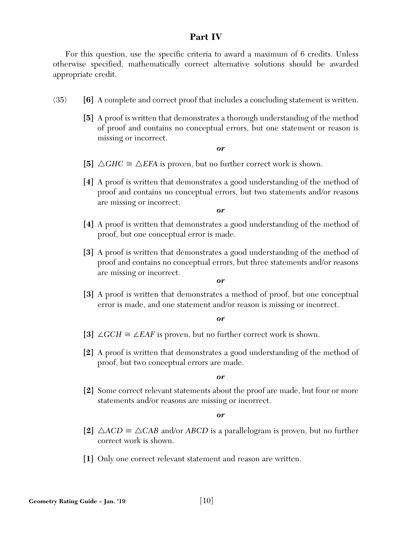## **Part IV**

For this question, use the specific criteria to award a maximum of 6 credits. Unless otherwise specified, mathematically correct alternative solutions should be awarded appropriate credit.

- (35) **[6]** A complete and correct proof that includes a concluding statement is written.
	- **[5]** A proof is written that demonstrates a thorough understanding of the method of proof and contains no conceptual errors, but one statement or reason is missing or incorrect.

#### *or*

- [5]  $\triangle GHC \cong \triangle EFA$  is proven, but no further correct work is shown.
- **[4]** A proof is written that demonstrates a good understanding of the method of proof and contains no conceptual errors, but two statements and/or reasons are missing or incorrect.

*or*

- **[4]** A proof is written that demonstrates a good understanding of the method of proof, but one conceptual error is made.
- **[3]** A proof is written that demonstrates a good understanding of the method of proof and contains no conceptual errors, but three statements and/or reasons are missing or incorrect.

#### *or*

**[3]** A proof is written that demonstrates a method of proof, but one conceptual error is made, and one statement and/or reason is missing or incorrect.

#### *or*

- [3] ∠*GCH*  $\cong$  ∠*EAF* is proven, but no further correct work is shown.
- **[2]** A proof is written that demonstrates a good understanding of the method of proof, but two conceptual errors are made.

#### *or*

**[2]** Some correct relevant statements about the proof are made, but four or more statements and/or reasons are missing or incorrect.

- [2]  $\triangle ACD \cong \triangle CAB$  and/or *ABCD* is a parallelogram is proven, but no further correct work is shown.
- **[1]** Only one correct relevant statement and reason are written.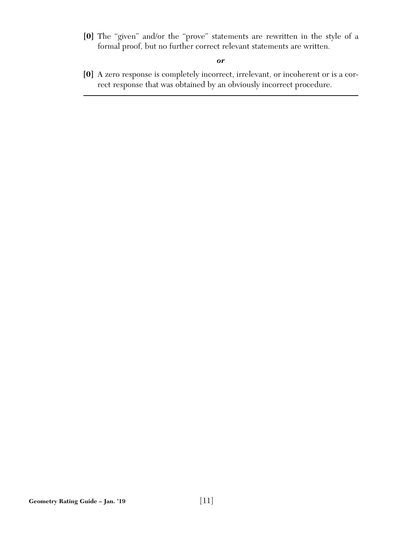**[0]** The "given" and/or the "prove" statements are rewritten in the style of a formal proof, but no further correct relevant statements are written.

*or*

**[0]** A zero response is completely incorrect, irrelevant, or incoherent or is a correct response that was obtained by an obviously incorrect procedure.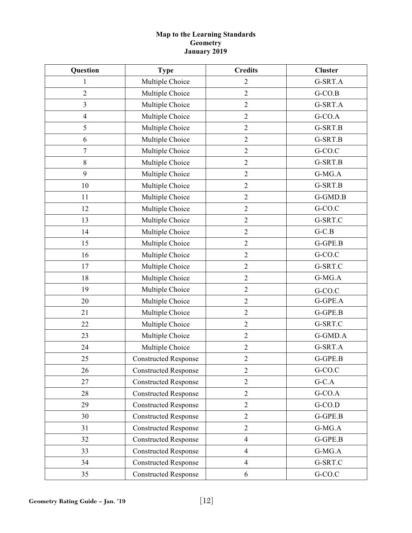### **Map to the Learning Standards Geometry January 2019**

| Question                | <b>Type</b>                 | <b>Credits</b>   | <b>Cluster</b> |
|-------------------------|-----------------------------|------------------|----------------|
| 1                       | Multiple Choice             | $\overline{c}$   | G-SRT.A        |
| $\overline{2}$          | Multiple Choice             | $\mathfrak{2}$   | $G-CO.B$       |
| $\overline{\mathbf{3}}$ | Multiple Choice             | $\sqrt{2}$       | G-SRT.A        |
| $\overline{4}$          | Multiple Choice             | $\overline{2}$   | $G$ -CO.A      |
| $\mathfrak s$           | Multiple Choice             | $\sqrt{2}$       | G-SRT.B        |
| 6                       | Multiple Choice             | $\sqrt{2}$       | G-SRT.B        |
| $\tau$                  | Multiple Choice             | $\sqrt{2}$       | G-CO.C         |
| 8                       | Multiple Choice             | $\overline{2}$   | G-SRT.B        |
| 9                       | Multiple Choice             | $\boldsymbol{2}$ | G-MG.A         |
| 10                      | Multiple Choice             | $\overline{2}$   | G-SRT.B        |
| 11                      | Multiple Choice             | $\sqrt{2}$       | G-GMD.B        |
| 12                      | Multiple Choice             | $\sqrt{2}$       | G-CO.C         |
| 13                      | Multiple Choice             | $\overline{2}$   | G-SRT.C        |
| 14                      | Multiple Choice             | $\overline{2}$   | $G-C.B$        |
| 15                      | Multiple Choice             | $\overline{2}$   | G-GPE.B        |
| 16                      | Multiple Choice             | $\boldsymbol{2}$ | G-CO.C         |
| 17                      | Multiple Choice             | $\overline{2}$   | G-SRT.C        |
| 18                      | Multiple Choice             | $\overline{2}$   | G-MG.A         |
| 19                      | Multiple Choice             | $\overline{2}$   | G-CO.C         |
| 20                      | Multiple Choice             | $\overline{2}$   | G-GPE.A        |
| 21                      | Multiple Choice             | $\overline{2}$   | G-GPE.B        |
| 22                      | Multiple Choice             | $\overline{2}$   | G-SRT.C        |
| 23                      | Multiple Choice             | $\mathfrak{2}$   | G-GMD.A        |
| 24                      | Multiple Choice             | $\sqrt{2}$       | G-SRT.A        |
| 25                      | <b>Constructed Response</b> | $\overline{2}$   | G-GPE.B        |
| 26                      | <b>Constructed Response</b> | $\overline{2}$   | G-CO.C         |
| 27                      | <b>Constructed Response</b> | $\overline{2}$   | $G-C.A$        |
| 28                      | <b>Constructed Response</b> | $\overline{2}$   | $G-CO.A$       |
| 29                      | <b>Constructed Response</b> | $\overline{2}$   | $G-CO.D$       |
| 30                      | <b>Constructed Response</b> | $\mathfrak{2}$   | G-GPE.B        |
| 31                      | <b>Constructed Response</b> | $\overline{2}$   | $G-MG.A$       |
| 32                      | <b>Constructed Response</b> | $\overline{4}$   | G-GPE.B        |
| 33                      | <b>Constructed Response</b> | $\overline{4}$   | $G-MG.A$       |
| 34                      | <b>Constructed Response</b> | $\overline{4}$   | G-SRT.C        |
| 35                      | <b>Constructed Response</b> | 6                | $G-CO.C$       |